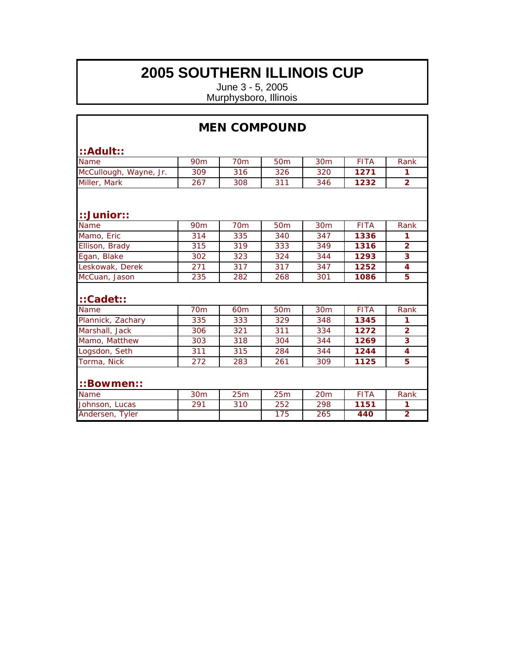|                        |                 | <b>MEN COMPOUND</b> |                 |                 |             |                |
|------------------------|-----------------|---------------------|-----------------|-----------------|-------------|----------------|
| $::$ Adult $::$        |                 |                     |                 |                 |             |                |
| <b>Name</b>            | 90 <sub>m</sub> | 70 <sub>m</sub>     | 50 <sub>m</sub> | 30 <sub>m</sub> | <b>FITA</b> | Rank           |
| McCullough, Wayne, Jr. | 309             | 316                 | 326             | 320             | 1271        | 1              |
| Miller, Mark           | 267             | 308                 | 311             | 346             | 1232        | $\overline{2}$ |
| $::$ Junior $::$       |                 |                     |                 |                 |             |                |
| Name                   | 90 <sub>m</sub> | 70 <sub>m</sub>     | 50 <sub>m</sub> | 30 <sub>m</sub> | <b>FITA</b> | Rank           |
| Mamo, Eric             | 314             | 335                 | 340             | 347             | 1336        | 1              |
| Ellison, Brady         | 315             | 319                 | 333             | 349             | 1316        | $\overline{2}$ |
| Egan, Blake            | 302             | 323                 | 324             | 344             | 1293        | 3              |
| Leskowak, Derek        | 271             | 317                 | 317             | 347             | 1252        | 4              |
| McCuan, Jason          | 235             | 282                 | 268             | 301             | 1086        | 5              |
| $::$ Cadet::           |                 |                     |                 |                 |             |                |
| Name                   | 70 <sub>m</sub> | 60 <sub>m</sub>     | 50 <sub>m</sub> | 30m             | <b>FITA</b> | Rank           |
| Plannick, Zachary      | 335             | 333                 | 329             | 348             | 1345        | 1              |
| Marshall, Jack         | 306             | 321                 | 311             | 334             | 1272        | $\overline{2}$ |
| Mamo, Matthew          | 303             | 318                 | 304             | 344             | 1269        | 3              |
| Logsdon, Seth          | 311             | 315                 | 284             | 344             | 1244        | $\overline{4}$ |
| Torma, Nick            | 272             | 283                 | 261             | 309             | 1125        | 5              |
| ::Bowmen::             |                 |                     |                 |                 |             |                |
| Name                   | 30 <sub>m</sub> | 25m                 | 25m             | 20m             | <b>FITA</b> | Rank           |
| Johnson, Lucas         | 291             | 310                 | 252             | 298             | 1151        | 1              |
| Andersen, Tyler        |                 |                     | 175             | 265             | 440         | $\overline{2}$ |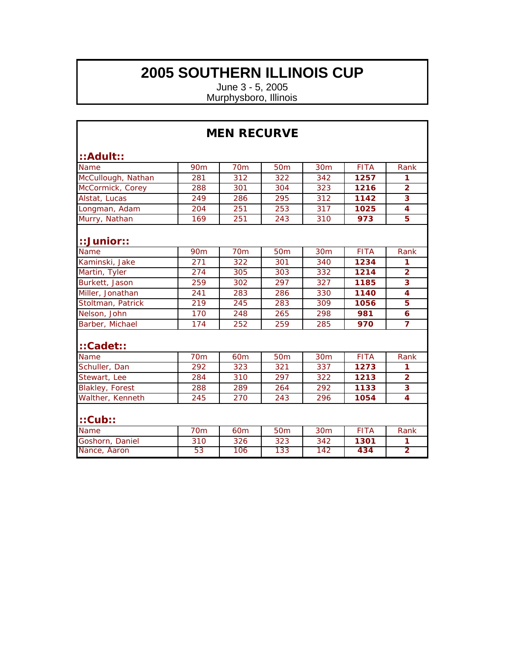| <b>MEN RECURVE</b>     |                 |                 |                 |                 |             |                         |
|------------------------|-----------------|-----------------|-----------------|-----------------|-------------|-------------------------|
| ::Adult::              |                 |                 |                 |                 |             |                         |
| Name                   | <b>90m</b>      | <b>70m</b>      | 50 <sub>m</sub> | 30 <sub>m</sub> | <b>FITA</b> | Rank                    |
| McCullough, Nathan     | 281             | 312             | 322             | 342             | 1257        | 1                       |
| McCormick, Corey       | 288             | 301             | 304             | 323             | 1216        | $\overline{2}$          |
| Alstat, Lucas          | 249             | 286             | 295             | 312             | 1142        | 3                       |
| Longman, Adam          | 204             | 251             | 253             | 317             | 1025        | 4                       |
| Murry, Nathan          | 169             | 251             | 243             | 310             | 973         | 5                       |
| $::$ Junior $::$       |                 |                 |                 |                 |             |                         |
| <b>Name</b>            | 90 <sub>m</sub> | <b>70m</b>      | 50 <sub>m</sub> | 30m             | <b>FITA</b> | Rank                    |
| Kaminski, Jake         | 271             | 322             | 301             | 340             | 1234        | 1                       |
| Martin, Tyler          | 274             | 305             | 303             | 332             | 1214        | $\overline{2}$          |
| Burkett, Jason         | 259             | 302             | 297             | 327             | 1185        | 3                       |
| Miller, Jonathan       | 241             | 283             | 286             | 330             | 1140        | 4                       |
| Stoltman, Patrick      | 219             | 245             | 283             | 309             | 1056        | 5                       |
| Nelson, John           | 170             | 248             | 265             | 298             | 981         | $\overline{6}$          |
| Barber, Michael        | 174             | 252             | 259             | 285             | 970         | 7                       |
| $::$ Cadet::           |                 |                 |                 |                 |             |                         |
| <b>Name</b>            | 70 <sub>m</sub> | 60 <sub>m</sub> | 50 <sub>m</sub> | 30 <sub>m</sub> | <b>FITA</b> | Rank                    |
| Schuller, Dan          | 292             | 323             | 321             | 337             | 1273        | 1                       |
| Stewart, Lee           | 284             | 310             | 297             | 322             | 1213        | $\overline{\mathbf{2}}$ |
| <b>Blakley, Forest</b> | 288             | 289             | 264             | 292             | 1133        | $\overline{\mathbf{3}}$ |
| Walther, Kenneth       | 245             | 270             | 243             | 296             | 1054        | 4                       |
| ::Cub::                |                 |                 |                 |                 |             |                         |
| <b>Name</b>            | <b>70m</b>      | 60 <sub>m</sub> | 50 <sub>m</sub> | 30m             | <b>FITA</b> | Rank                    |
| Goshorn, Daniel        | 310             | 326             | 323             | 342             | 1301        | 1                       |
| Nance, Aaron           | 53              | 106             | 133             | 142             | 434         | $\overline{2}$          |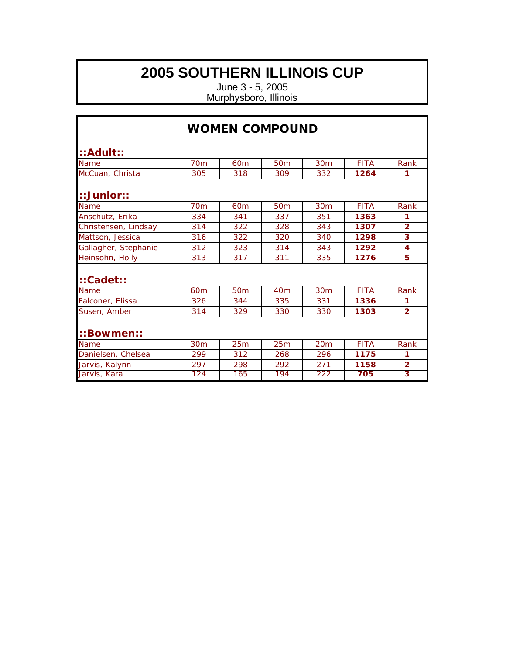| <b>WOMEN COMPOUND</b> |                 |                 |                 |                 |             |                |
|-----------------------|-----------------|-----------------|-----------------|-----------------|-------------|----------------|
| $::$ Adult $::$       |                 |                 |                 |                 |             |                |
| <b>Name</b>           | 70 <sub>m</sub> | 60 <sub>m</sub> | 50 <sub>m</sub> | 30 <sub>m</sub> | <b>FITA</b> | Rank           |
| McCuan, Christa       | 305             | 318             | 309             | 332             | 1264        | 1              |
| $::$ Junior $::$      |                 |                 |                 |                 |             |                |
| Name                  | <b>70m</b>      | 60 <sub>m</sub> | 50 <sub>m</sub> | 30m             | <b>FITA</b> | Rank           |
| Anschutz, Erika       | 334             | 341             | 337             | 351             | 1363        | 1              |
| Christensen, Lindsay  | 314             | 322             | 328             | 343             | 1307        | $\overline{2}$ |
| Mattson, Jessica      | 316             | 322             | 320             | 340             | 1298        | 3              |
| Gallagher, Stephanie  | 312             | 323             | 314             | 343             | 1292        | 4              |
| Heinsohn, Holly       | 313             | 317             | 311             | 335             | 1276        | 5              |
| $::$ Cadet $::$       |                 |                 |                 |                 |             |                |
| <b>Name</b>           | 60m             | 50 <sub>m</sub> | 40 <sub>m</sub> | 30 <sub>m</sub> | <b>FITA</b> | Rank           |
| Falconer, Elissa      | 326             | 344             | 335             | 331             | 1336        | 1              |
| Susen, Amber          | 314             | 329             | 330             | 330             | 1303        | $\overline{2}$ |
| ::Bowmen::            |                 |                 |                 |                 |             |                |
| Name                  | 30 <sub>m</sub> | 25m             | 25m             | 20m             | <b>FITA</b> | Rank           |
| Danielsen, Chelsea    | 299             | 312             | 268             | 296             | 1175        | 1              |
| Jarvis, Kalynn        | 297             | 298             | 292             | 271             | 1158        | $\overline{2}$ |
| Jarvis, Kara          | 124             | 165             | 194             | 222             | 705         | 3              |